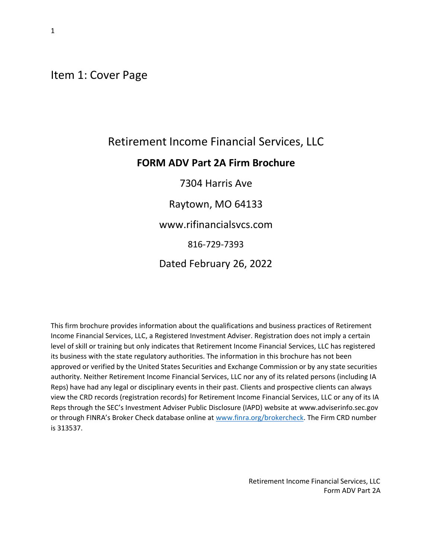<span id="page-0-0"></span>Item 1: Cover Page

# Retirement Income Financial Services, LLC **FORM ADV Part 2A Firm Brochure** 7304 Harris Ave Raytown, MO 64133 www.rifinancialsvcs.com 816-729-7393

Dated February 26, 2022

This firm brochure provides information about the qualifications and business practices of Retirement Income Financial Services, LLC, a Registered Investment Adviser. Registration does not imply a certain level of skill or training but only indicates that Retirement Income Financial Services, LLC has registered its business with the state regulatory authorities. The information in this brochure has not been approved or verified by the United States Securities and Exchange Commission or by any state securities authority. Neither Retirement Income Financial Services, LLC nor any of its related persons (including IA Reps) have had any legal or disciplinary events in their past. Clients and prospective clients can always view the CRD records (registration records) for Retirement Income Financial Services, LLC or any of its IA Reps through the SEC's Investment Adviser Public Disclosure (IAPD) website at [www.adviserinfo.sec.gov](http://www.adviserinfo.sec.gov/) or through FINRA's Broker Check database online at [www.finra.org/brokercheck. T](http://www.finra.org/brokercheck)he Firm CRD number is 313537.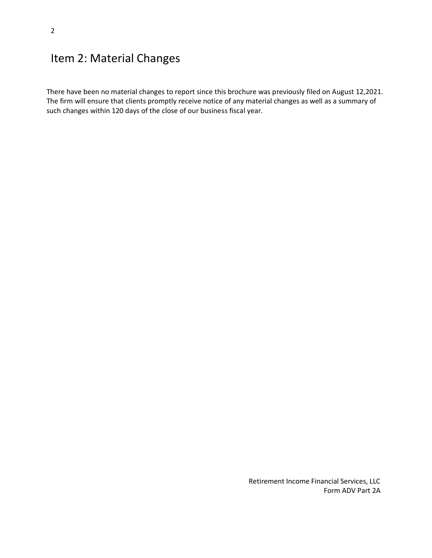### <span id="page-1-0"></span>Item 2: Material Changes

There have been no material changes to report since this brochure was previously filed on August 12,2021. The firm will ensure that clients promptly receive notice of any material changes as well as a summary of such changes within 120 days of the close of our business fiscal year.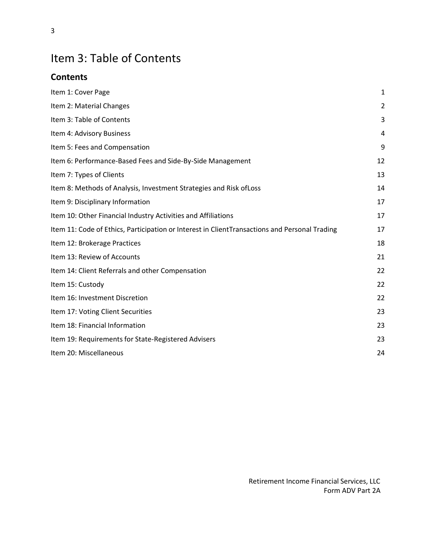# <span id="page-2-0"></span>Item 3: Table of Contents

#### **Contents**

| Item 1: Cover Page                                                                            | 1              |
|-----------------------------------------------------------------------------------------------|----------------|
| Item 2: Material Changes                                                                      | $\overline{2}$ |
| Item 3: Table of Contents                                                                     | 3              |
| Item 4: Advisory Business                                                                     | 4              |
| Item 5: Fees and Compensation                                                                 | 9              |
| Item 6: Performance-Based Fees and Side-By-Side Management                                    | 12             |
| Item 7: Types of Clients                                                                      | 13             |
| Item 8: Methods of Analysis, Investment Strategies and Risk of Loss                           | 14             |
| Item 9: Disciplinary Information                                                              | 17             |
| Item 10: Other Financial Industry Activities and Affiliations                                 | 17             |
| Item 11: Code of Ethics, Participation or Interest in ClientTransactions and Personal Trading | 17             |
| Item 12: Brokerage Practices                                                                  | 18             |
| Item 13: Review of Accounts                                                                   | 21             |
| Item 14: Client Referrals and other Compensation                                              | 22             |
| Item 15: Custody                                                                              | 22             |
| Item 16: Investment Discretion                                                                | 22             |
| Item 17: Voting Client Securities                                                             | 23             |
| Item 18: Financial Information                                                                | 23             |
| Item 19: Requirements for State-Registered Advisers                                           | 23             |
| Item 20: Miscellaneous                                                                        | 24             |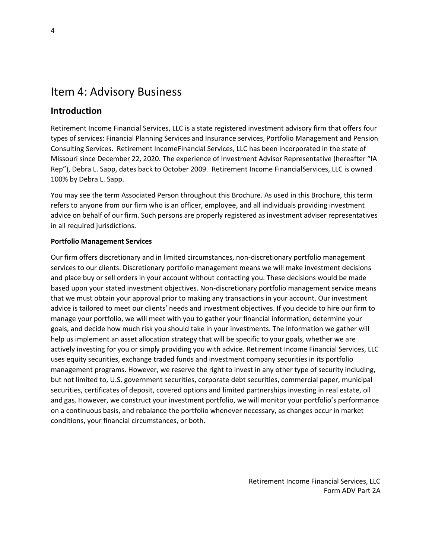### <span id="page-3-0"></span>Item 4: Advisory Business

#### **Introduction**

Retirement Income Financial Services, LLC is a state registered investment advisory firm that offers four types of services: Financial Planning Services and Insurance services, Portfolio Management and Pension Consulting Services. Retirement IncomeFinancial Services, LLC has been incorporated in the state of Missouri since December 22, 2020. The experience of Investment Advisor Representative (hereafter "IA Rep"), Debra L. Sapp, dates back to October 2009. Retirement Income FinancialServices, LLC is owned 100% by Debra L. Sapp.

You may see the term Associated Person throughout this Brochure. As used in this Brochure, this term refers to anyone from our firm who is an officer, employee, and all individuals providing investment advice on behalf of our firm. Such persons are properly registered as investment adviser representatives in all required jurisdictions.

#### **Portfolio Management Services**

Our firm offers discretionary and in limited circumstances, non-discretionary portfolio management services to our clients. Discretionary portfolio management means we will make investment decisions and place buy or sell orders in your account without contacting you. These decisions would be made based upon your stated investment objectives. Non-discretionary portfolio management service means that we must obtain your approval prior to making any transactions in your account. Our investment advice is tailored to meet our clients' needs and investment objectives. If you decide to hire our firm to manage your portfolio, we will meet with you to gather your financial information, determine your goals, and decide how much risk you should take in your investments. The information we gather will help us implement an asset allocation strategy that will be specific to your goals, whether we are actively investing for you or simply providing you with advice. Retirement Income Financial Services, LLC uses equity securities, exchange traded funds and investment company securities in its portfolio management programs. However, we reserve the right to invest in any other type of security including, but not limited to, U.S. government securities, corporate debt securities, commercial paper, municipal securities, certificates of deposit, covered options and limited partnerships investing in real estate, oil and gas. However, we construct your investment portfolio, we will monitor your portfolio's performance on a continuous basis, and rebalance the portfolio whenever necessary, as changes occur in market conditions, your financial circumstances, or both.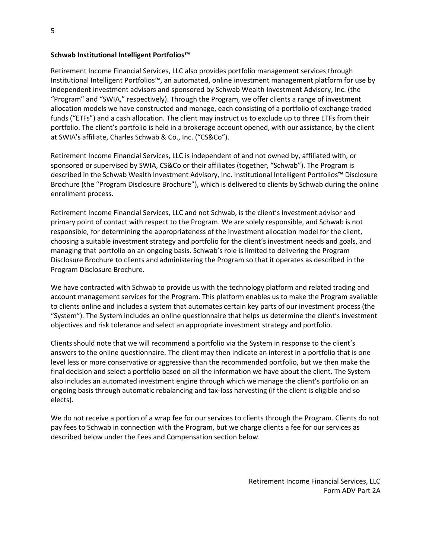#### **Schwab Institutional Intelligent Portfolios™**

Retirement Income Financial Services, LLC also provides portfolio management services through Institutional Intelligent Portfolios™, an automated, online investment management platform for use by independent investment advisors and sponsored by Schwab Wealth Investment Advisory, Inc. (the "Program" and "SWIA," respectively). Through the Program, we offer clients a range of investment allocation models we have constructed and manage, each consisting of a portfolio of exchange traded funds ("ETFs") and a cash allocation. The client may instruct us to exclude up to three ETFs from their portfolio. The client's portfolio is held in a brokerage account opened, with our assistance, by the client at SWIA's affiliate, Charles Schwab & Co., Inc. ("CS&Co").

Retirement Income Financial Services, LLC is independent of and not owned by, affiliated with, or sponsored or supervised by SWIA, CS&Co or their affiliates (together, "Schwab"). The Program is described in the Schwab Wealth Investment Advisory, Inc. Institutional Intelligent Portfolios™ Disclosure Brochure (the "Program Disclosure Brochure"), which is delivered to clients by Schwab during the online enrollment process.

Retirement Income Financial Services, LLC and not Schwab, is the client's investment advisor and primary point of contact with respect to the Program. We are solely responsible, and Schwab is not responsible, for determining the appropriateness of the investment allocation model for the client, choosing a suitable investment strategy and portfolio for the client's investment needs and goals, and managing that portfolio on an ongoing basis. Schwab's role is limited to delivering the Program Disclosure Brochure to clients and administering the Program so that it operates as described in the Program Disclosure Brochure.

We have contracted with Schwab to provide us with the technology platform and related trading and account management services for the Program. This platform enables us to make the Program available to clients online and includes a system that automates certain key parts of our investment process (the "System"). The System includes an online questionnaire that helps us determine the client's investment objectives and risk tolerance and select an appropriate investment strategy and portfolio.

Clients should note that we will recommend a portfolio via the System in response to the client's answers to the online questionnaire. The client may then indicate an interest in a portfolio that is one level less or more conservative or aggressive than the recommended portfolio, but we then make the final decision and select a portfolio based on all the information we have about the client. The System also includes an automated investment engine through which we manage the client's portfolio on an ongoing basis through automatic rebalancing and tax-loss harvesting (if the client is eligible and so elects).

We do not receive a portion of a wrap fee for our services to clients through the Program. Clients do not pay fees to Schwab in connection with the Program, but we charge clients a fee for our services as described below under the Fees and Compensation section below.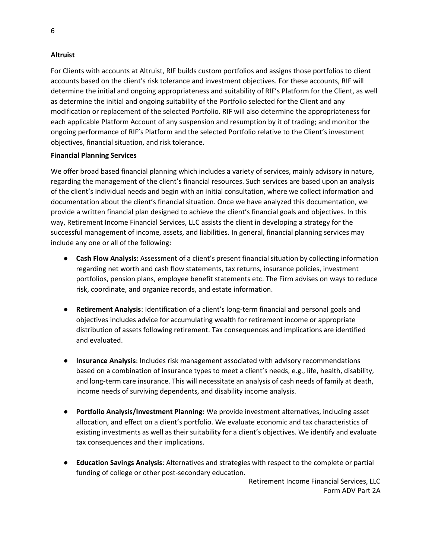#### **Altruist**

For Clients with accounts at Altruist, RIF builds custom portfolios and assigns those portfolios to client accounts based on the client's risk tolerance and investment objectives. For these accounts, RIF will determine the initial and ongoing appropriateness and suitability of RIF's Platform for the Client, as well as determine the initial and ongoing suitability of the Portfolio selected for the Client and any modification or replacement of the selected Portfolio. RIF will also determine the appropriateness for each applicable Platform Account of any suspension and resumption by it of trading; and monitor the ongoing performance of RIF's Platform and the selected Portfolio relative to the Client's investment objectives, financial situation, and risk tolerance.

#### **Financial Planning Services**

We offer broad based financial planning which includes a variety of services, mainly advisory in nature, regarding the management of the client's financial resources. Such services are based upon an analysis of the client's individual needs and begin with an initial consultation, where we collect information and documentation about the client's financial situation. Once we have analyzed this documentation, we provide a written financial plan designed to achieve the client's financial goals and objectives. In this way, Retirement Income Financial Services, LLC assists the client in developing a strategy for the successful management of income, assets, and liabilities. In general, financial planning services may include any one or all of the following:

- **Cash Flow Analysis:** Assessment of a client's present financial situation by collecting information regarding net worth and cash flow statements, tax returns, insurance policies, investment portfolios, pension plans, employee benefit statements etc. The Firm advises on ways to reduce risk, coordinate, and organize records, and estate information.
- **Retirement Analysis**: Identification of a client's long-term financial and personal goals and objectives includes advice for accumulating wealth for retirement income or appropriate distribution of assets following retirement. Tax consequences and implications are identified and evaluated.
- **Insurance Analysis**: Includes risk management associated with advisory recommendations based on a combination of insurance types to meet a client's needs, e.g., life, health, disability, and long-term care insurance. This will necessitate an analysis of cash needs of family at death, income needs of surviving dependents, and disability income analysis.
- **Portfolio Analysis/Investment Planning:** We provide investment alternatives, including asset allocation, and effect on a client's portfolio. We evaluate economic and tax characteristics of existing investments as well as their suitability for a client's objectives. We identify and evaluate tax consequences and their implications.
- **Education Savings Analysis**: Alternatives and strategies with respect to the complete or partial funding of college or other post-secondary education.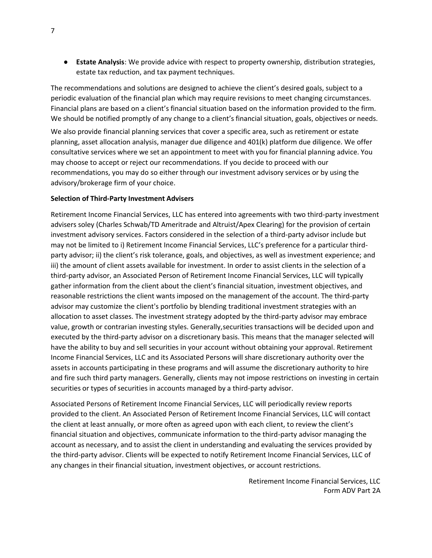● **Estate Analysis**: We provide advice with respect to property ownership, distribution strategies, estate tax reduction, and tax payment techniques.

The recommendations and solutions are designed to achieve the client's desired goals, subject to a periodic evaluation of the financial plan which may require revisions to meet changing circumstances. Financial plans are based on a client's financial situation based on the information provided to the firm. We should be notified promptly of any change to a client's financial situation, goals, objectives or needs.

We also provide financial planning services that cover a specific area, such as retirement or estate planning, asset allocation analysis, manager due diligence and 401(k) platform due diligence. We offer consultative services where we set an appointment to meet with you for financial planning advice. You may choose to accept or reject our recommendations. If you decide to proceed with our recommendations, you may do so either through our investment advisory services or by using the advisory/brokerage firm of your choice.

#### **Selection of Third-Party Investment Advisers**

Retirement Income Financial Services, LLC has entered into agreements with two third-party investment advisers soley (Charles Schwab/TD Ameritrade and Altruist/Apex Clearing) for the provision of certain investment advisory services. Factors considered in the selection of a third-party advisor include but may not be limited to i) Retirement Income Financial Services, LLC's preference for a particular thirdparty advisor; ii) the client's risk tolerance, goals, and objectives, as well as investment experience; and iii) the amount of client assets available for investment. In order to assist clients in the selection of a third-party advisor, an Associated Person of Retirement Income Financial Services, LLC will typically gather information from the client about the client's financial situation, investment objectives, and reasonable restrictions the client wants imposed on the management of the account. The third-party advisor may customize the client's portfolio by blending traditional investment strategies with an allocation to asset classes. The investment strategy adopted by the third-party advisor may embrace value, growth or contrarian investing styles. Generally,securities transactions will be decided upon and executed by the third-party advisor on a discretionary basis. This means that the manager selected will have the ability to buy and sell securities in your account without obtaining your approval. Retirement Income Financial Services, LLC and its Associated Persons will share discretionary authority over the assets in accounts participating in these programs and will assume the discretionary authority to hire and fire such third party managers. Generally, clients may not impose restrictions on investing in certain securities or types of securities in accounts managed by a third-party advisor.

Associated Persons of Retirement Income Financial Services, LLC will periodically review reports provided to the client. An Associated Person of Retirement Income Financial Services, LLC will contact the client at least annually, or more often as agreed upon with each client, to review the client's financial situation and objectives, communicate information to the third-party advisor managing the account as necessary, and to assist the client in understanding and evaluating the services provided by the third-party advisor. Clients will be expected to notify Retirement Income Financial Services, LLC of any changes in their financial situation, investment objectives, or account restrictions.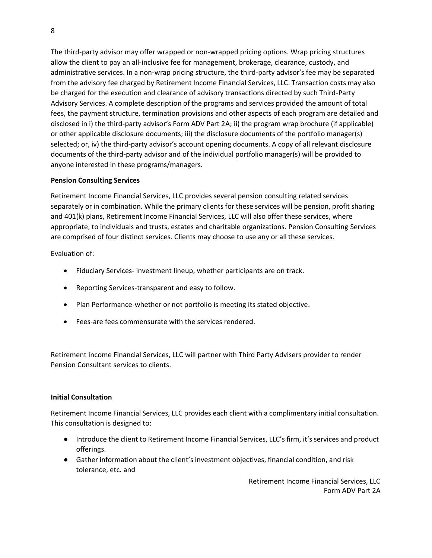The third-party advisor may offer wrapped or non-wrapped pricing options. Wrap pricing structures allow the client to pay an all-inclusive fee for management, brokerage, clearance, custody, and administrative services. In a non-wrap pricing structure, the third-party advisor's fee may be separated from the advisory fee charged by Retirement Income Financial Services, LLC. Transaction costs may also be charged for the execution and clearance of advisory transactions directed by such Third-Party Advisory Services. A complete description of the programs and services provided the amount of total fees, the payment structure, termination provisions and other aspects of each program are detailed and disclosed in i) the third-party advisor's Form ADV Part 2A; ii) the program wrap brochure (if applicable) or other applicable disclosure documents; iii) the disclosure documents of the portfolio manager(s) selected; or, iv) the third-party advisor's account opening documents. A copy of all relevant disclosure documents of the third-party advisor and of the individual portfolio manager(s) will be provided to anyone interested in these programs/managers.

#### **Pension Consulting Services**

Retirement Income Financial Services, LLC provides several pension consulting related services separately or in combination. While the primary clients for these services will be pension, profit sharing and 401(k) plans, Retirement Income Financial Services, LLC will also offer these services, where appropriate, to individuals and trusts, estates and charitable organizations. Pension Consulting Services are comprised of four distinct services. Clients may choose to use any or all these services.

Evaluation of:

- Fiduciary Services- investment lineup, whether participants are on track.
- Reporting Services-transparent and easy to follow.
- Plan Performance-whether or not portfolio is meeting its stated objective.
- Fees-are fees commensurate with the services rendered.

Retirement Income Financial Services, LLC will partner with Third Party Advisers provider to render Pension Consultant services to clients.

#### **Initial Consultation**

Retirement Income Financial Services, LLC provides each client with a complimentary initial consultation. This consultation is designed to:

- Introduce the client to Retirement Income Financial Services, LLC's firm, it's services and product offerings.
- Gather information about the client's investment objectives, financial condition, and risk tolerance, etc. and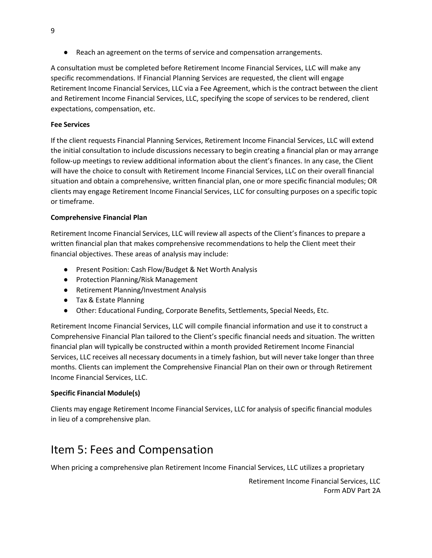● Reach an agreement on the terms of service and compensation arrangements.

A consultation must be completed before Retirement Income Financial Services, LLC will make any specific recommendations. If Financial Planning Services are requested, the client will engage Retirement Income Financial Services, LLC via a Fee Agreement, which is the contract between the client and Retirement Income Financial Services, LLC, specifying the scope of services to be rendered, client expectations, compensation, etc.

#### **Fee Services**

If the client requests Financial Planning Services, Retirement Income Financial Services, LLC will extend the initial consultation to include discussions necessary to begin creating a financial plan or may arrange follow-up meetings to review additional information about the client's finances. In any case, the Client will have the choice to consult with Retirement Income Financial Services, LLC on their overall financial situation and obtain a comprehensive, written financial plan, one or more specific financial modules; OR clients may engage Retirement Income Financial Services, LLC for consulting purposes on a specific topic or timeframe.

#### **Comprehensive Financial Plan**

Retirement Income Financial Services, LLC will review all aspects of the Client's finances to prepare a written financial plan that makes comprehensive recommendations to help the Client meet their financial objectives. These areas of analysis may include:

- Present Position: Cash Flow/Budget & Net Worth Analysis
- Protection Planning/Risk Management
- Retirement Planning/Investment Analysis
- Tax & Estate Planning
- Other: Educational Funding, Corporate Benefits, Settlements, Special Needs, Etc.

Retirement Income Financial Services, LLC will compile financial information and use it to construct a Comprehensive Financial Plan tailored to the Client's specific financial needs and situation. The written financial plan will typically be constructed within a month provided Retirement Income Financial Services, LLC receives all necessary documents in a timely fashion, but will never take longer than three months. Clients can implement the Comprehensive Financial Plan on their own or through Retirement Income Financial Services, LLC.

#### **Specific Financial Module(s)**

Clients may engage Retirement Income Financial Services, LLC for analysis of specific financial modules in lieu of a comprehensive plan.

### <span id="page-8-0"></span>Item 5: Fees and Compensation

When pricing a comprehensive plan Retirement Income Financial Services, LLC utilizes a proprietary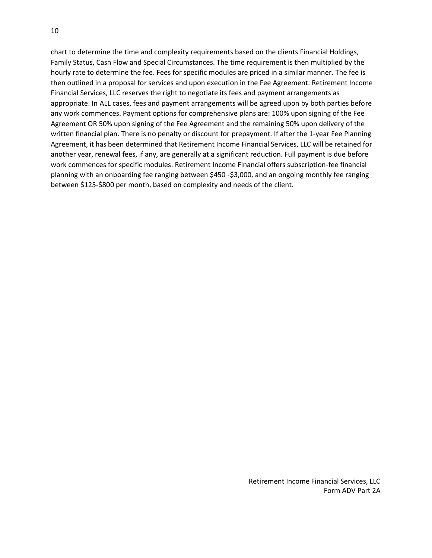chart to determine the time and complexity requirements based on the clients Financial Holdings, Family Status, Cash Flow and Special Circumstances. The time requirement is then multiplied by the hourly rate to determine the fee. Fees for specific modules are priced in a similar manner. The fee is then outlined in a proposal for services and upon execution in the Fee Agreement. Retirement Income Financial Services, LLC reserves the right to negotiate its fees and payment arrangements as appropriate. In ALL cases, fees and payment arrangements will be agreed upon by both parties before any work commences. Payment options for comprehensive plans are: 100% upon signing of the Fee Agreement OR 50% upon signing of the Fee Agreement and the remaining 50% upon delivery of the written financial plan. There is no penalty or discount for prepayment. If after the 1-year Fee Planning Agreement, it has been determined that Retirement Income Financial Services, LLC will be retained for another year, renewal fees, if any, are generally at a significant reduction. Full payment is due before work commences for specific modules. Retirement Income Financial offers subscription-fee financial planning with an onboarding fee ranging between \$450 -\$3,000, and an ongoing monthly fee ranging between \$125-\$800 per month, based on complexity and needs of the client.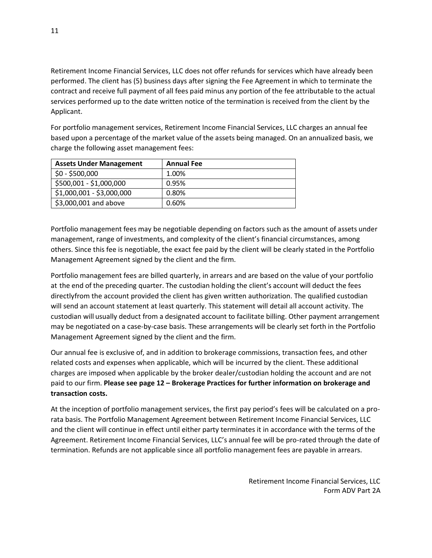Retirement Income Financial Services, LLC does not offer refunds for services which have already been performed. The client has (5) business days after signing the Fee Agreement in which to terminate the contract and receive full payment of all fees paid minus any portion of the fee attributable to the actual services performed up to the date written notice of the termination is received from the client by the Applicant.

For portfolio management services, Retirement Income Financial Services, LLC charges an annual fee based upon a percentage of the market value of the assets being managed. On an annualized basis, we charge the following asset management fees:

| <b>Assets Under Management</b> | <b>Annual Fee</b> |
|--------------------------------|-------------------|
| $$0 - $500,000$                | 1.00%             |
| \$500,001 - \$1,000,000        | 0.95%             |
| \$1,000,001 - \$3,000,000      | 0.80%             |
| \$3,000,001 and above          | 0.60%             |

Portfolio management fees may be negotiable depending on factors such as the amount of assets under management, range of investments, and complexity of the client's financial circumstances, among others. Since this fee is negotiable, the exact fee paid by the client will be clearly stated in the Portfolio Management Agreement signed by the client and the firm.

Portfolio management fees are billed quarterly, in arrears and are based on the value of your portfolio at the end of the preceding quarter. The custodian holding the client's account will deduct the fees directlyfrom the account provided the client has given written authorization. The qualified custodian will send an account statement at least quarterly. This statement will detail all account activity. The custodian will usually deduct from a designated account to facilitate billing. Other payment arrangement may be negotiated on a case-by-case basis. These arrangements will be clearly set forth in the Portfolio Management Agreement signed by the client and the firm.

Our annual fee is exclusive of, and in addition to brokerage commissions, transaction fees, and other related costs and expenses when applicable, which will be incurred by the client. These additional charges are imposed when applicable by the broker dealer/custodian holding the account and are not paid to our firm. **Please see page 12 – Brokerage Practices for further information on brokerage and transaction costs.**

At the inception of portfolio management services, the first pay period's fees will be calculated on a prorata basis. The Portfolio Management Agreement between Retirement Income Financial Services, LLC and the client will continue in effect until either party terminates it in accordance with the terms of the Agreement. Retirement Income Financial Services, LLC's annual fee will be pro-rated through the date of termination. Refunds are not applicable since all portfolio management fees are payable in arrears.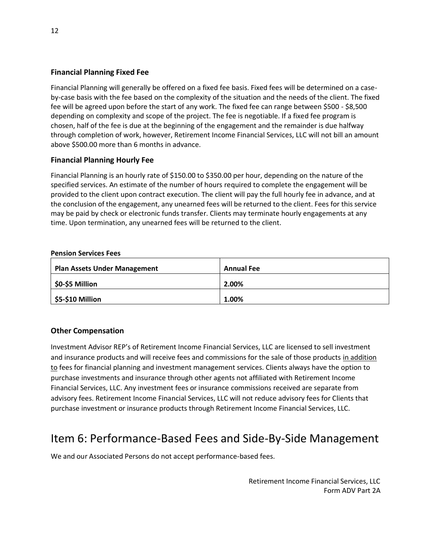#### **Financial Planning Fixed Fee**

Financial Planning will generally be offered on a fixed fee basis. Fixed fees will be determined on a caseby-case basis with the fee based on the complexity of the situation and the needs of the client. The fixed fee will be agreed upon before the start of any work. The fixed fee can range between \$500 - \$8,500 depending on complexity and scope of the project. The fee is negotiable. If a fixed fee program is chosen, half of the fee is due at the beginning of the engagement and the remainder is due halfway through completion of work, however, Retirement Income Financial Services, LLC will not bill an amount above \$500.00 more than 6 months in advance.

#### **Financial Planning Hourly Fee**

Financial Planning is an hourly rate of \$150.00 to \$350.00 per hour, depending on the nature of the specified services. An estimate of the number of hours required to complete the engagement will be provided to the client upon contract execution. The client will pay the full hourly fee in advance, and at the conclusion of the engagement, any unearned fees will be returned to the client. Fees for this service may be paid by check or electronic funds transfer. Clients may terminate hourly engagements at any time. Upon termination, any unearned fees will be returned to the client.

| <b>Plan Assets Under Management</b> | <b>Annual Fee</b> |
|-------------------------------------|-------------------|
| \$0-\$5 Million                     | 2.00%             |
| <b>\$5-\$10 Million</b>             | 1.00%             |

#### **Other Compensation**

Investment Advisor REP's of Retirement Income Financial Services, LLC are licensed to sell investment and insurance products and will receive fees and commissions for the sale of those products in addition to fees for financial planning and investment management services. Clients always have the option to purchase investments and insurance through other agents not affiliated with Retirement Income Financial Services, LLC. Any investment fees or insurance commissions received are separate from advisory fees. Retirement Income Financial Services, LLC will not reduce advisory fees for Clients that purchase investment or insurance products through Retirement Income Financial Services, LLC.

### <span id="page-11-0"></span>Item 6: Performance-Based Fees and Side-By-Side Management

We and our Associated Persons do not accept performance-based fees.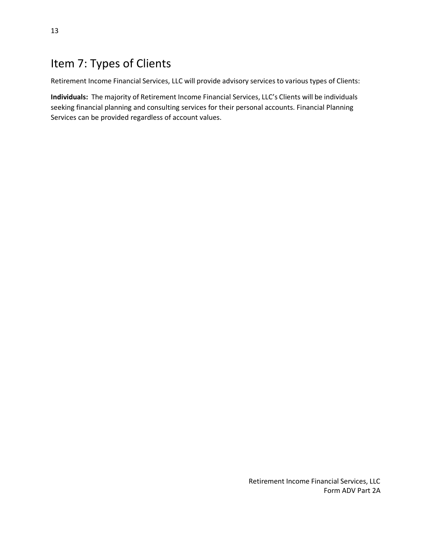### <span id="page-12-0"></span>Item 7: Types of Clients

Retirement Income Financial Services, LLC will provide advisory services to various types of Clients:

**Individuals:** The majority of Retirement Income Financial Services, LLC's Clients will be individuals seeking financial planning and consulting services for their personal accounts. Financial Planning Services can be provided regardless of account values.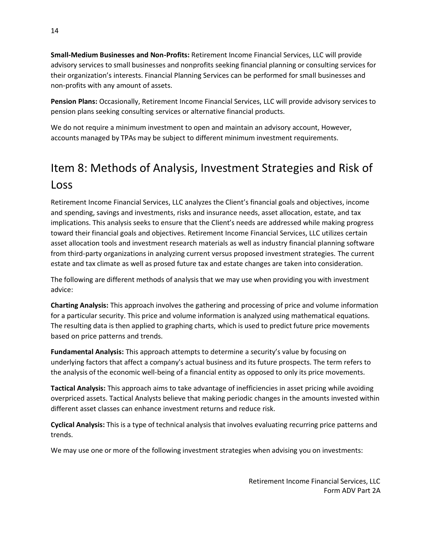**Small-Medium Businesses and Non-Profits:** Retirement Income Financial Services, LLC will provide advisory services to small businesses and nonprofits seeking financial planning or consulting services for their organization's interests. Financial Planning Services can be performed for small businesses and non-profits with any amount of assets.

**Pension Plans:** Occasionally, Retirement Income Financial Services, LLC will provide advisory services to pension plans seeking consulting services or alternative financial products.

We do not require a minimum investment to open and maintain an advisory account, However, accounts managed by TPAs may be subject to different minimum investment requirements.

# <span id="page-13-0"></span>Item 8: Methods of Analysis, Investment Strategies and Risk of Loss

Retirement Income Financial Services, LLC analyzes the Client's financial goals and objectives, income and spending, savings and investments, risks and insurance needs, asset allocation, estate, and tax implications. This analysis seeks to ensure that the Client's needs are addressed while making progress toward their financial goals and objectives. Retirement Income Financial Services, LLC utilizes certain asset allocation tools and investment research materials as well as industry financial planning software from third-party organizations in analyzing current versus proposed investment strategies. The current estate and tax climate as well as prosed future tax and estate changes are taken into consideration.

The following are different methods of analysis that we may use when providing you with investment advice:

**Charting Analysis:** This approach involves the gathering and processing of price and volume information for a particular security. This price and volume information is analyzed using mathematical equations. The resulting data is then applied to graphing charts, which is used to predict future price movements based on price patterns and trends.

**Fundamental Analysis:** This approach attempts to determine a security's value by focusing on underlying factors that affect a company's actual business and its future prospects. The term refers to the analysis of the economic well-being of a financial entity as opposed to only its price movements.

**Tactical Analysis:** This approach aims to take advantage of inefficiencies in asset pricing while avoiding overpriced assets. Tactical Analysts believe that making periodic changes in the amounts invested within different asset classes can enhance investment returns and reduce risk.

**Cyclical Analysis:** This is a type of technical analysis that involves evaluating recurring price patterns and trends.

We may use one or more of the following investment strategies when advising you on investments: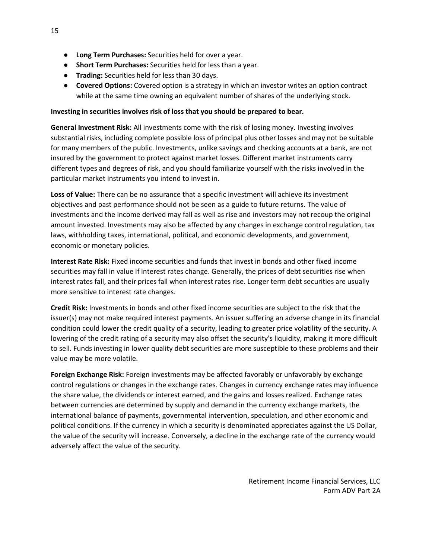- **Long Term Purchases:** Securities held for over a year.
- **Short Term Purchases:** Securities held for less than a year.
- **Trading:** Securities held for less than 30 days.
- **Covered Options:** Covered option is a strategy in which an investor writes an option contract while at the same time owning an equivalent number of shares of the underlying stock.

#### **Investing in securities involves risk of loss that you should be prepared to bear.**

**General Investment Risk:** All investments come with the risk of losing money. Investing involves substantial risks, including complete possible loss of principal plus other losses and may not be suitable for many members of the public. Investments, unlike savings and checking accounts at a bank, are not insured by the government to protect against market losses. Different market instruments carry different types and degrees of risk, and you should familiarize yourself with the risks involved in the particular market instruments you intend to invest in.

**Loss of Value:** There can be no assurance that a specific investment will achieve its investment objectives and past performance should not be seen as a guide to future returns. The value of investments and the income derived may fall as well as rise and investors may not recoup the original amount invested. Investments may also be affected by any changes in exchange control regulation, tax laws, withholding taxes, international, political, and economic developments, and government, economic or monetary policies.

**Interest Rate Risk:** Fixed income securities and funds that invest in bonds and other fixed income securities may fall in value if interest rates change. Generally, the prices of debt securities rise when interest rates fall, and their prices fall when interest rates rise. Longer term debt securities are usually more sensitive to interest rate changes.

**Credit Risk:** Investments in bonds and other fixed income securities are subject to the risk that the issuer(s) may not make required interest payments. An issuer suffering an adverse change in its financial condition could lower the credit quality of a security, leading to greater price volatility of the security. A lowering of the credit rating of a security may also offset the security's liquidity, making it more difficult to sell. Funds investing in lower quality debt securities are more susceptible to these problems and their value may be more volatile.

**Foreign Exchange Risk:** Foreign investments may be affected favorably or unfavorably by exchange control regulations or changes in the exchange rates. Changes in currency exchange rates may influence the share value, the dividends or interest earned, and the gains and losses realized. Exchange rates between currencies are determined by supply and demand in the currency exchange markets, the international balance of payments, governmental intervention, speculation, and other economic and political conditions. If the currency in which a security is denominated appreciates against the US Dollar, the value of the security will increase. Conversely, a decline in the exchange rate of the currency would adversely affect the value of the security.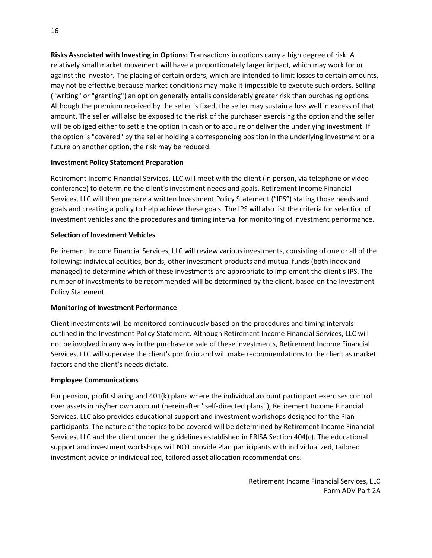**Risks Associated with Investing in Options:** Transactions in options carry a high degree of risk. A relatively small market movement will have a proportionately larger impact, which may work for or against the investor. The placing of certain orders, which are intended to limit losses to certain amounts, may not be effective because market conditions may make it impossible to execute such orders. Selling ("writing" or "granting") an option generally entails considerably greater risk than purchasing options. Although the premium received by the seller is fixed, the seller may sustain a loss well in excess of that amount. The seller will also be exposed to the risk of the purchaser exercising the option and the seller will be obliged either to settle the option in cash or to acquire or deliver the underlying investment. If the option is "covered" by the seller holding a corresponding position in the underlying investment or a future on another option, the risk may be reduced.

#### **Investment Policy Statement Preparation**

Retirement Income Financial Services, LLC will meet with the client (in person, via telephone or video conference) to determine the client's investment needs and goals. Retirement Income Financial Services, LLC will then prepare a written Investment Policy Statement ("IPS") stating those needs and goals and creating a policy to help achieve these goals. The IPS will also list the criteria for selection of investment vehicles and the procedures and timing interval for monitoring of investment performance.

#### **Selection of Investment Vehicles**

Retirement Income Financial Services, LLC will review various investments, consisting of one or all of the following: individual equities, bonds, other investment products and mutual funds (both index and managed) to determine which of these investments are appropriate to implement the client's IPS. The number of investments to be recommended will be determined by the client, based on the Investment Policy Statement.

#### **Monitoring of Investment Performance**

Client investments will be monitored continuously based on the procedures and timing intervals outlined in the Investment Policy Statement. Although Retirement Income Financial Services, LLC will not be involved in any way in the purchase or sale of these investments, Retirement Income Financial Services, LLC will supervise the client's portfolio and will make recommendations to the client as market factors and the client's needs dictate.

#### **Employee Communications**

For pension, profit sharing and 401(k) plans where the individual account participant exercises control over assets in his/her own account (hereinafter ''self-directed plans''), Retirement Income Financial Services, LLC also provides educational support and investment workshops designed for the Plan participants. The nature of the topics to be covered will be determined by Retirement Income Financial Services, LLC and the client under the guidelines established in ERISA Section 404(c). The educational support and investment workshops will NOT provide Plan participants with individualized, tailored investment advice or individualized, tailored asset allocation recommendations.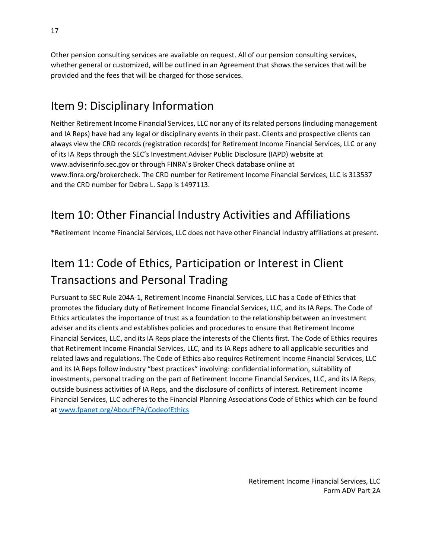Other pension consulting services are available on request. All of our pension consulting services, whether general or customized, will be outlined in an Agreement that shows the services that will be provided and the fees that will be charged for those services.

### <span id="page-16-0"></span>Item 9: Disciplinary Information

Neither Retirement Income Financial Services, LLC nor any of its related persons (including management and IA Reps) have had any legal or disciplinary events in their past. Clients and prospective clients can always view the CRD records (registration records) for Retirement Income Financial Services, LLC or any of its IA Reps through the SEC's Investment Adviser Public Disclosure (IAPD) website at [www.adviserinfo.sec.gov](http://www.adviserinfo.sec.gov/) or through FINRA's Broker Check database online at [www.finra.org/brokercheck. T](http://www.finra.org/brokercheck)he CRD number for Retirement Income Financial Services, LLC is 313537 and the CRD number for Debra L. Sapp is 1497113.

### <span id="page-16-1"></span>Item 10: Other Financial Industry Activities and Affiliations

\*Retirement Income Financial Services, LLC does not have other Financial Industry affiliations at present.

# <span id="page-16-2"></span>Item 11: Code of Ethics, Participation or Interest in Client Transactions and Personal Trading

Pursuant to SEC Rule 204A-1, Retirement Income Financial Services, LLC has a Code of Ethics that promotes the fiduciary duty of Retirement Income Financial Services, LLC, and its IA Reps. The Code of Ethics articulates the importance of trust as a foundation to the relationship between an investment adviser and its clients and establishes policies and procedures to ensure that Retirement Income Financial Services, LLC, and its IA Reps place the interests of the Clients first. The Code of Ethics requires that Retirement Income Financial Services, LLC, and its IA Reps adhere to all applicable securities and related laws and regulations. The Code of Ethics also requires Retirement Income Financial Services, LLC and its IA Reps follow industry "best practices" involving: confidential information, suitability of investments, personal trading on the part of Retirement Income Financial Services, LLC, and its IA Reps, outside business activities of IA Reps, and the disclosure of conflicts of interest. Retirement Income Financial Services, LLC adheres to the Financial Planning Associations Code of Ethics which can be found at [www.fpanet.org/AboutFPA/CodeofEthics](http://www.fpanet.org/AboutFPA/CodeofEthics)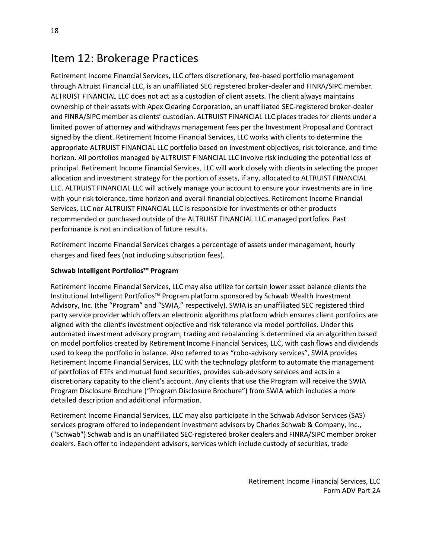### <span id="page-17-0"></span>Item 12: Brokerage Practices

Retirement Income Financial Services, LLC offers discretionary, fee-based portfolio management through Altruist Financial LLC, is an unaffiliated SEC registered broker-dealer and FINRA/SIPC member. ALTRUIST FINANCIAL LLC does not act as a custodian of client assets. The client always maintains ownership of their assets with Apex Clearing Corporation, an unaffiliated SEC-registered broker-dealer and FINRA/SIPC member as clients' custodian. ALTRUIST FINANCIAL LLC places trades for clients under a limited power of attorney and withdraws management fees per the Investment Proposal and Contract signed by the client. Retirement Income Financial Services, LLC works with clients to determine the appropriate ALTRUIST FINANCIAL LLC portfolio based on investment objectives, risk tolerance, and time horizon. All portfolios managed by ALTRUIST FINANCIAL LLC involve risk including the potential loss of principal. Retirement Income Financial Services, LLC will work closely with clients in selecting the proper allocation and investment strategy for the portion of assets, if any, allocated to ALTRUIST FINANCIAL LLC. ALTRUIST FINANCIAL LLC will actively manage your account to ensure your investments are in line with your risk tolerance, time horizon and overall financial objectives. Retirement Income Financial Services, LLC nor ALTRUIST FINANCIAL LLC is responsible for investments or other products recommended or purchased outside of the ALTRUIST FINANCIAL LLC managed portfolios. Past performance is not an indication of future results.

Retirement Income Financial Services charges a percentage of assets under management, hourly charges and fixed fees (not including subscription fees).

#### **Schwab Intelligent Portfolios™ Program**

Retirement Income Financial Services, LLC may also utilize for certain lower asset balance clients the Institutional Intelligent Portfolios™ Program platform sponsored by Schwab Wealth Investment Advisory, Inc. (the "Program" and "SWIA," respectively). SWIA is an unaffiliated SEC registered third party service provider which offers an electronic algorithms platform which ensures client portfolios are aligned with the client's investment objective and risk tolerance via model portfolios. Under this automated investment advisory program, trading and rebalancing is determined via an algorithm based on model portfolios created by Retirement Income Financial Services, LLC, with cash flows and dividends used to keep the portfolio in balance. Also referred to as "robo-advisory services", SWIA provides Retirement Income Financial Services, LLC with the technology platform to automate the management of portfolios of ETFs and mutual fund securities, provides sub-advisory services and acts in a discretionary capacity to the client's account. Any clients that use the Program will receive the SWIA Program Disclosure Brochure ("Program Disclosure Brochure") from SWIA which includes a more detailed description and additional information.

Retirement Income Financial Services, LLC may also participate in the Schwab Advisor Services (SAS) services program offered to independent investment advisors by Charles Schwab & Company, Inc., ("Schwab") Schwab and is an unaffiliated SEC-registered broker dealers and FINRA/SIPC member broker dealers. Each offer to independent advisors, services which include custody of securities, trade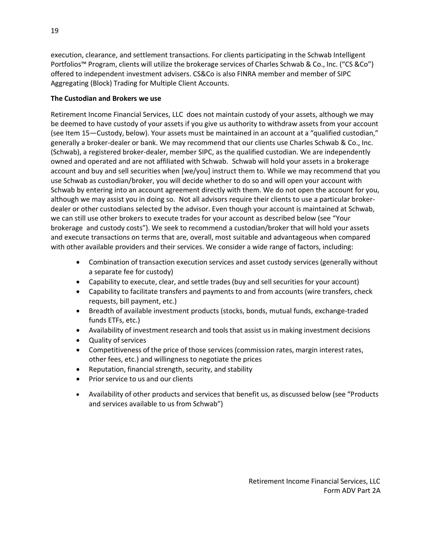execution, clearance, and settlement transactions. For clients participating in the Schwab Intelligent Portfolios™ Program, clients will utilize the brokerage services of Charles Schwab & Co., Inc. ("CS &Co") offered to independent investment advisers. CS&Co is also FINRA member and member of SIPC Aggregating (Block) Trading for Multiple Client Accounts.

#### **The Custodian and Brokers we use**

Retirement Income Financial Services, LLC does not maintain custody of your assets, although we may be deemed to have custody of your assets if you give us authority to withdraw assets from your account (see Item 15—Custody, below). Your assets must be maintained in an account at a "qualified custodian," generally a broker-dealer or bank. We may recommend that our clients use Charles Schwab & Co., Inc. (Schwab), a registered broker-dealer, member SIPC, as the qualified custodian. We are independently owned and operated and are not affiliated with Schwab. Schwab will hold your assets in a brokerage account and buy and sell securities when [we/you] instruct them to. While we may recommend that you use Schwab as custodian/broker, you will decide whether to do so and will open your account with Schwab by entering into an account agreement directly with them. We do not open the account for you, although we may assist you in doing so. Not all advisors require their clients to use a particular brokerdealer or other custodians selected by the advisor. Even though your account is maintained at Schwab, we can still use other brokers to execute trades for your account as described below (see "Your brokerage and custody costs"). We seek to recommend a custodian/broker that will hold your assets and execute transactions on terms that are, overall, most suitable and advantageous when compared with other available providers and their services. We consider a wide range of factors, including:

- Combination of transaction execution services and asset custody services (generally without a separate fee for custody)
- Capability to execute, clear, and settle trades (buy and sell securities for your account)
- Capability to facilitate transfers and payments to and from accounts (wire transfers, check requests, bill payment, etc.)
- Breadth of available investment products (stocks, bonds, mutual funds, exchange-traded funds ETFs, etc.)
- Availability of investment research and tools that assist us in making investment decisions
- Quality of services
- Competitiveness of the price of those services (commission rates, margin interest rates, other fees, etc.) and willingness to negotiate the prices
- Reputation, financial strength, security, and stability
- Prior service to us and our clients
- Availability of other products and services that benefit us, as discussed below (see "Products and services available to us from Schwab")

19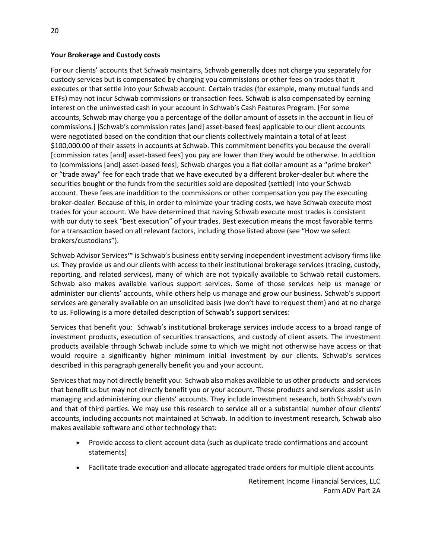#### **Your Brokerage and Custody costs**

For our clients' accounts that Schwab maintains, Schwab generally does not charge you separately for custody services but is compensated by charging you commissions or other fees on trades that it executes or that settle into your Schwab account. Certain trades (for example, many mutual funds and ETFs) may not incur Schwab commissions or transaction fees. Schwab is also compensated by earning interest on the uninvested cash in your account in Schwab's Cash Features Program. [For some accounts, Schwab may charge you a percentage of the dollar amount of assets in the account in lieu of commissions.] [Schwab's commission rates [and] asset-based fees] applicable to our client accounts were negotiated based on the condition that our clients collectively maintain a total of at least \$100,000.00 of their assets in accounts at Schwab. This commitment benefits you because the overall [commission rates [and] asset-based fees] you pay are lower than they would be otherwise. In addition to [commissions [and] asset-based fees], Schwab charges you a flat dollar amount as a "prime broker" or "trade away" fee for each trade that we have executed by a different broker-dealer but where the securities bought or the funds from the securities sold are deposited (settled) into your Schwab account. These fees are inaddition to the commissions or other compensation you pay the executing broker-dealer. Because of this, in order to minimize your trading costs, we have Schwab execute most trades for your account. We have determined that having Schwab execute most trades is consistent with our duty to seek "best execution" of your trades. Best execution means the most favorable terms for a transaction based on all relevant factors, including those listed above (see "How we select brokers/custodians").

Schwab Advisor Services™ is Schwab's business entity serving independent investment advisory firms like us. They provide us and our clients with access to their institutional brokerage services (trading, custody, reporting, and related services), many of which are not typically available to Schwab retail customers. Schwab also makes available various support services. Some of those services help us manage or administer our clients' accounts, while others help us manage and grow our business. Schwab's support services are generally available on an unsolicited basis (we don't have to request them) and at no charge to us. Following is a more detailed description of Schwab's support services:

Services that benefit you: Schwab's institutional brokerage services include access to a broad range of investment products, execution of securities transactions, and custody of client assets. The investment products available through Schwab include some to which we might not otherwise have access or that would require a significantly higher minimum initial investment by our clients. Schwab's services described in this paragraph generally benefit you and your account.

Services that may not directly benefit you: Schwab also makes available to us other products and services that benefit us but may not directly benefit you or your account. These products and services assist us in managing and administering our clients' accounts. They include investment research, both Schwab's own and that of third parties. We may use this research to service all or a substantial number of our clients' accounts, including accounts not maintained at Schwab. In addition to investment research, Schwab also makes available software and other technology that:

- Provide access to client account data (such as duplicate trade confirmations and account statements)
- Facilitate trade execution and allocate aggregated trade orders for multiple client accounts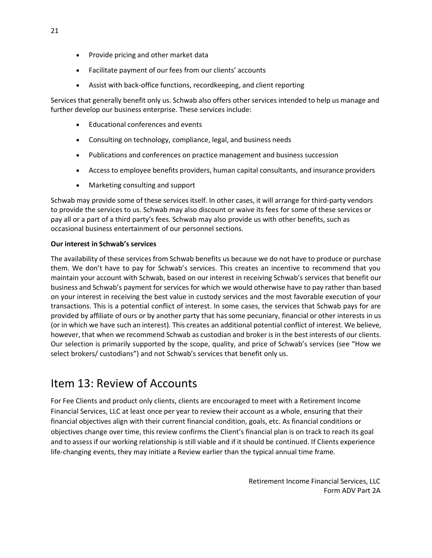- Provide pricing and other market data
- Facilitate payment of our fees from our clients' accounts
- Assist with back-office functions, recordkeeping, and client reporting

Services that generally benefit only us. Schwab also offers other services intended to help us manage and further develop our business enterprise. These services include:

- Educational conferences and events
- Consulting on technology, compliance, legal, and business needs
- Publications and conferences on practice management and business succession
- Access to employee benefits providers, human capital consultants, and insurance providers
- Marketing consulting and support

Schwab may provide some of these services itself. In other cases, it will arrange for third-party vendors to provide the services to us. Schwab may also discount or waive its fees for some of these services or pay all or a part of a third party's fees. Schwab may also provide us with other benefits, such as occasional business entertainment of our personnel sections.

#### **Our interest in Schwab's services**

The availability of these services from Schwab benefits us because we do not have to produce or purchase them. We don't have to pay for Schwab's services. This creates an incentive to recommend that you maintain your account with Schwab, based on our interest in receiving Schwab's services that benefit our business and Schwab's payment for services for which we would otherwise have to pay rather than based on your interest in receiving the best value in custody services and the most favorable execution of your transactions. This is a potential conflict of interest. In some cases, the services that Schwab pays for are provided by affiliate of ours or by another party that hassome pecuniary, financial or other interests in us (or in which we have such an interest). This creates an additional potential conflict of interest. We believe, however, that when we recommend Schwab as custodian and broker is in the best interests of our clients. Our selection is primarily supported by the scope, quality, and price of Schwab's services (see "How we select brokers/ custodians") and not Schwab's services that benefit only us.

### <span id="page-20-0"></span>Item 13: Review of Accounts

For Fee Clients and product only clients, clients are encouraged to meet with a Retirement Income Financial Services, LLC at least once per year to review their account as a whole, ensuring that their financial objectives align with their current financial condition, goals, etc. As financial conditions or objectives change over time, this review confirms the Client's financial plan is on track to reach its goal and to assess if our working relationship is still viable and if it should be continued. If Clients experience life-changing events, they may initiate a Review earlier than the typical annual time frame.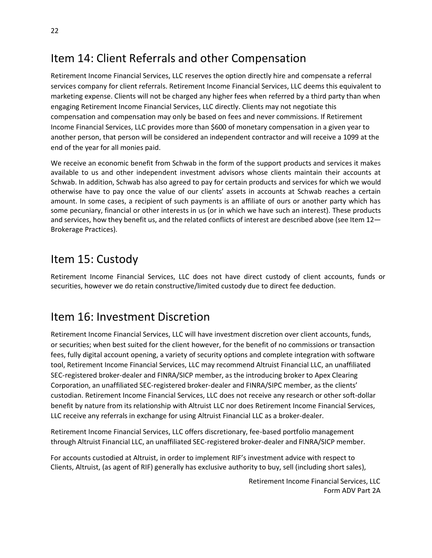### <span id="page-21-0"></span>Item 14: Client Referrals and other Compensation

Retirement Income Financial Services, LLC reserves the option directly hire and compensate a referral services company for client referrals. Retirement Income Financial Services, LLC deems this equivalent to marketing expense. Clients will not be charged any higher fees when referred by a third party than when engaging Retirement Income Financial Services, LLC directly. Clients may not negotiate this compensation and compensation may only be based on fees and never commissions. If Retirement Income Financial Services, LLC provides more than \$600 of monetary compensation in a given year to another person, that person will be considered an independent contractor and will receive a 1099 at the end of the year for all monies paid.

We receive an economic benefit from Schwab in the form of the support products and services it makes available to us and other independent investment advisors whose clients maintain their accounts at Schwab. In addition, Schwab has also agreed to pay for certain products and services for which we would otherwise have to pay once the value of our clients' assets in accounts at Schwab reaches a certain amount. In some cases, a recipient of such payments is an affiliate of ours or another party which has some pecuniary, financial or other interests in us (or in which we have such an interest). These products and services, how they benefit us, and the related conflicts of interest are described above (see Item 12-Brokerage Practices).

### <span id="page-21-1"></span>Item 15: Custody

Retirement Income Financial Services, LLC does not have direct custody of client accounts, funds or securities, however we do retain constructive/limited custody due to direct fee deduction.

### <span id="page-21-2"></span>Item 16: Investment Discretion

Retirement Income Financial Services, LLC will have investment discretion over client accounts, funds, or securities; when best suited for the client however, for the benefit of no commissions or transaction fees, fully digital account opening, a variety of security options and complete integration with software tool, Retirement Income Financial Services, LLC may recommend Altruist Financial LLC, an unaffiliated SEC-registered broker-dealer and FINRA/SICP member, as the introducing broker to Apex Clearing Corporation, an unaffiliated SEC-registered broker-dealer and FINRA/SIPC member, as the clients' custodian. Retirement Income Financial Services, LLC does not receive any research or other soft-dollar benefit by nature from its relationship with Altruist LLC nor does Retirement Income Financial Services, LLC receive any referrals in exchange for using Altruist Financial LLC as a broker-dealer.

Retirement Income Financial Services, LLC offers discretionary, fee-based portfolio management through Altruist Financial LLC, an unaffiliated SEC-registered broker-dealer and FINRA/SICP member.

For accounts custodied at Altruist, in order to implement RIF's investment advice with respect to Clients, Altruist, (as agent of RIF) generally has exclusive authority to buy, sell (including short sales),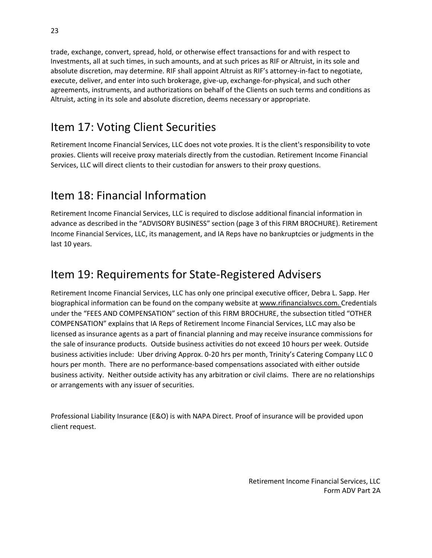trade, exchange, convert, spread, hold, or otherwise effect transactions for and with respect to Investments, all at such times, in such amounts, and at such prices as RIF or Altruist, in its sole and absolute discretion, may determine. RIF shall appoint Altruist as RIF's attorney-in-fact to negotiate, execute, deliver, and enter into such brokerage, give-up, exchange-for-physical, and such other agreements, instruments, and authorizations on behalf of the Clients on such terms and conditions as Altruist, acting in its sole and absolute discretion, deems necessary or appropriate.

### <span id="page-22-0"></span>Item 17: Voting Client Securities

Retirement Income Financial Services, LLC does not vote proxies. It is the client's responsibility to vote proxies. Clients will receive proxy materials directly from the custodian. Retirement Income Financial Services, LLC will direct clients to their custodian for answers to their proxy questions.

### <span id="page-22-1"></span>Item 18: Financial Information

Retirement Income Financial Services, LLC is required to disclose additional financial information in advance as described in the "ADVISORY BUSINESS" section (page 3 of this FIRM BROCHURE). Retirement Income Financial Services, LLC, its management, and IA Reps have no bankruptcies or judgments in the last 10 years.

### <span id="page-22-2"></span>Item 19: Requirements for State-Registered Advisers

Retirement Income Financial Services, LLC has only one principal executive officer, Debra L. Sapp. Her biographical information can be found on the company website at www.rifinancialsvcs.com. Credentials under the "FEES AND COMPENSATION" section of this FIRM BROCHURE, the subsection titled "OTHER COMPENSATION" explains that IA Reps of Retirement Income Financial Services, LLC may also be licensed as insurance agents as a part of financial planning and may receive insurance commissions for the sale of insurance products. Outside business activities do not exceed 10 hours per week. Outside business activities include: Uber driving Approx. 0-20 hrs per month, Trinity's Catering Company LLC 0 hours per month. There are no performance-based compensations associated with either outside business activity. Neither outside activity has any arbitration or civil claims. There are no relationships or arrangements with any issuer of securities.

Professional Liability Insurance (E&O) is with NAPA Direct. Proof of insurance will be provided upon client request.